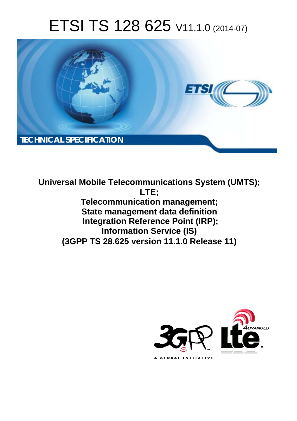# ETSI TS 128 625 V11.1.0 (2014-07)



**Universal Mobile Telecommunications System (UMTS); LTE; Telecommunication management; State management data definition Integration Reference Point (IRP); Information Service (IS) (3GPP TS 28.625 version 11.1.0 Release 11)** 

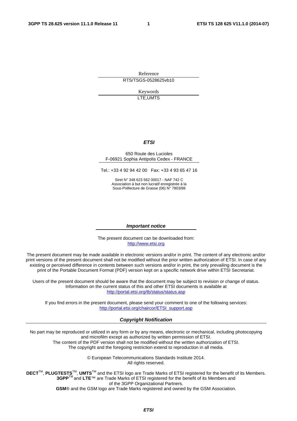Reference RTS/TSGS-0528625vb10

> Keywords LTE,UMTS

#### *ETSI*

#### 650 Route des Lucioles F-06921 Sophia Antipolis Cedex - FRANCE

Tel.: +33 4 92 94 42 00 Fax: +33 4 93 65 47 16

Siret N° 348 623 562 00017 - NAF 742 C Association à but non lucratif enregistrée à la Sous-Préfecture de Grasse (06) N° 7803/88

#### *Important notice*

The present document can be downloaded from: [http://www.etsi.org](http://www.etsi.org/)

The present document may be made available in electronic versions and/or in print. The content of any electronic and/or print versions of the present document shall not be modified without the prior written authorization of ETSI. In case of any existing or perceived difference in contents between such versions and/or in print, the only prevailing document is the print of the Portable Document Format (PDF) version kept on a specific network drive within ETSI Secretariat.

Users of the present document should be aware that the document may be subject to revision or change of status. Information on the current status of this and other ETSI documents is available at <http://portal.etsi.org/tb/status/status.asp>

If you find errors in the present document, please send your comment to one of the following services: [http://portal.etsi.org/chaircor/ETSI\\_support.asp](http://portal.etsi.org/chaircor/ETSI_support.asp)

#### *Copyright Notification*

No part may be reproduced or utilized in any form or by any means, electronic or mechanical, including photocopying and microfilm except as authorized by written permission of ETSI.

The content of the PDF version shall not be modified without the written authorization of ETSI. The copyright and the foregoing restriction extend to reproduction in all media.

> © European Telecommunications Standards Institute 2014. All rights reserved.

**DECT**TM, **PLUGTESTS**TM, **UMTS**TM and the ETSI logo are Trade Marks of ETSI registered for the benefit of its Members. **3GPP**TM and **LTE**™ are Trade Marks of ETSI registered for the benefit of its Members and of the 3GPP Organizational Partners.

**GSM**® and the GSM logo are Trade Marks registered and owned by the GSM Association.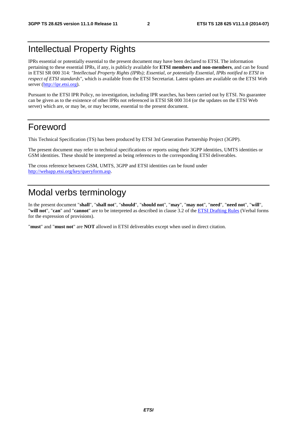## Intellectual Property Rights

IPRs essential or potentially essential to the present document may have been declared to ETSI. The information pertaining to these essential IPRs, if any, is publicly available for **ETSI members and non-members**, and can be found in ETSI SR 000 314: *"Intellectual Property Rights (IPRs); Essential, or potentially Essential, IPRs notified to ETSI in respect of ETSI standards"*, which is available from the ETSI Secretariat. Latest updates are available on the ETSI Web server [\(http://ipr.etsi.org](http://webapp.etsi.org/IPR/home.asp)).

Pursuant to the ETSI IPR Policy, no investigation, including IPR searches, has been carried out by ETSI. No guarantee can be given as to the existence of other IPRs not referenced in ETSI SR 000 314 (or the updates on the ETSI Web server) which are, or may be, or may become, essential to the present document.

## Foreword

This Technical Specification (TS) has been produced by ETSI 3rd Generation Partnership Project (3GPP).

The present document may refer to technical specifications or reports using their 3GPP identities, UMTS identities or GSM identities. These should be interpreted as being references to the corresponding ETSI deliverables.

The cross reference between GSM, UMTS, 3GPP and ETSI identities can be found under <http://webapp.etsi.org/key/queryform.asp>.

# Modal verbs terminology

In the present document "**shall**", "**shall not**", "**should**", "**should not**", "**may**", "**may not**", "**need**", "**need not**", "**will**", "**will not**", "**can**" and "**cannot**" are to be interpreted as described in clause 3.2 of the [ETSI Drafting Rules](http://portal.etsi.org/Help/editHelp!/Howtostart/ETSIDraftingRules.aspx) (Verbal forms for the expression of provisions).

"**must**" and "**must not**" are **NOT** allowed in ETSI deliverables except when used in direct citation.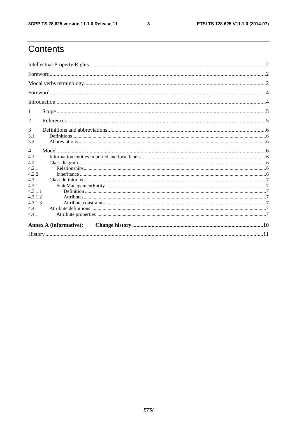$\mathbf{3}$ 

# Contents

| 2              |                               |  |  |  |  |
|----------------|-------------------------------|--|--|--|--|
| 3              |                               |  |  |  |  |
| 3.1            |                               |  |  |  |  |
| 3.2            |                               |  |  |  |  |
| $\overline{4}$ |                               |  |  |  |  |
| 4.1            |                               |  |  |  |  |
| 4.2            |                               |  |  |  |  |
| 4.2.1          |                               |  |  |  |  |
| 4.2.2          |                               |  |  |  |  |
| 4.3            |                               |  |  |  |  |
| 4.3.1          |                               |  |  |  |  |
| 4.3.1.1        |                               |  |  |  |  |
| 4.3.1.2        |                               |  |  |  |  |
| 4.3.1.3        |                               |  |  |  |  |
| 4.4            |                               |  |  |  |  |
| 4.4.1          |                               |  |  |  |  |
|                | <b>Annex A (informative):</b> |  |  |  |  |
|                |                               |  |  |  |  |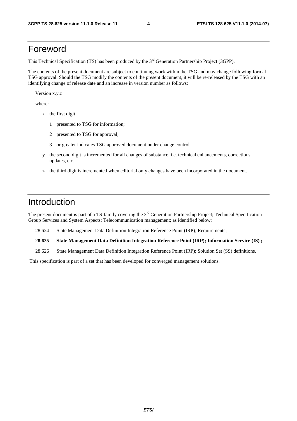## Foreword

This Technical Specification (TS) has been produced by the 3<sup>rd</sup> Generation Partnership Project (3GPP).

The contents of the present document are subject to continuing work within the TSG and may change following formal TSG approval. Should the TSG modify the contents of the present document, it will be re-released by the TSG with an identifying change of release date and an increase in version number as follows:

Version x.y.z

where:

- x the first digit:
	- 1 presented to TSG for information;
	- 2 presented to TSG for approval;
	- 3 or greater indicates TSG approved document under change control.
- y the second digit is incremented for all changes of substance, i.e. technical enhancements, corrections, updates, etc.
- z the third digit is incremented when editorial only changes have been incorporated in the document.

## Introduction

The present document is part of a TS-family covering the 3<sup>rd</sup> Generation Partnership Project; Technical Specification Group Services and System Aspects; Telecommunication management; as identified below:

28.624 State Management Data Definition Integration Reference Point (IRP); Requirements;

**28.625 State Management Data Definition Integration Reference Point (IRP); Information Service (IS) ;** 

28.626 State Management Data Definition Integration Reference Point (IRP); Solution Set (SS) definitions.

This specification is part of a set that has been developed for converged management solutions.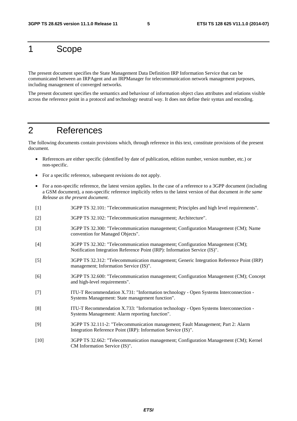# 1 Scope

The present document specifies the State Management Data Definition IRP Information Service that can be communicated between an IRPAgent and an IRPManager for telecommunication network management purposes, including management of converged networks.

The present document specifies the semantics and behaviour of information object class attributes and relations visible across the reference point in a protocol and technology neutral way. It does not define their syntax and encoding.

# 2 References

The following documents contain provisions which, through reference in this text, constitute provisions of the present document.

- References are either specific (identified by date of publication, edition number, version number, etc.) or non-specific.
- For a specific reference, subsequent revisions do not apply.
- For a non-specific reference, the latest version applies. In the case of a reference to a 3GPP document (including a GSM document), a non-specific reference implicitly refers to the latest version of that document *in the same Release as the present document*.
- [1] 3GPP TS 32.101: "Telecommunication management; Principles and high level requirements".
- [2] 3GPP TS 32.102: "Telecommunication management; Architecture".
- [3] 3GPP TS 32.300: "Telecommunication management; Configuration Management (CM); Name convention for Managed Objects".
- [4] 3GPP TS 32.302: "Telecommunication management; Configuration Management (CM); Notification Integration Reference Point (IRP): Information Service (IS)".
- [5] 3GPP TS 32.312: "Telecommunication management; Generic Integration Reference Point (IRP) management; Information Service (IS)".
- [6] 3GPP TS 32.600: "Telecommunication management; Configuration Management (CM); Concept and high-level requirements".
- [7] ITU-T Recommendation X.731: "Information technology Open Systems Interconnection Systems Management: State management function".
- [8] ITU-T Recommendation X.733: "Information technology Open Systems Interconnection Systems Management: Alarm reporting function".
- [9] 3GPP TS 32.111-2: "Telecommunication management; Fault Management; Part 2: Alarm Integration Reference Point (IRP): Information Service (IS)".
- [10] 3GPP TS 32.662: "Telecommunication management; Configuration Management (CM); Kernel CM Information Service (IS)".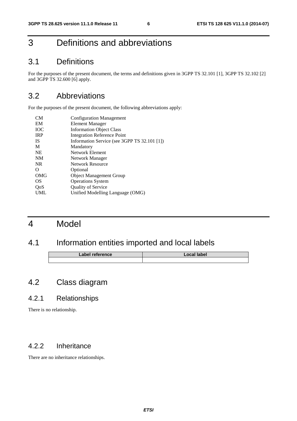# 3 Definitions and abbreviations

#### 3.1 Definitions

For the purposes of the present document, the terms and definitions given in 3GPP TS 32.101 [1], 3GPP TS 32.102 [2] and 3GPP TS 32.600 [6] apply.

## 3.2 Abbreviations

For the purposes of the present document, the following abbreviations apply:

| <b>CM</b>  | <b>Configuration Management</b>              |
|------------|----------------------------------------------|
| EM         | Element Manager                              |
| <b>IOC</b> | <b>Information Object Class</b>              |
| <b>IRP</b> | <b>Integration Reference Point</b>           |
| <b>IS</b>  | Information Service (see 3GPP TS 32.101 [1]) |
| M          | Mandatory                                    |
| <b>NE</b>  | Network Element                              |
| <b>NM</b>  | Network Manager                              |
| <b>NR</b>  | <b>Network Resource</b>                      |
| O          | Optional                                     |
| <b>OMG</b> | <b>Object Management Group</b>               |
| OS         | <b>Operations System</b>                     |
| QoS        | <b>Quality of Service</b>                    |
| UML        | Unified Modelling Language (OMG)             |
|            |                                              |

# 4 Model

## 4.1 Information entities imported and local labels

| Label reference | Local label |
|-----------------|-------------|
|                 |             |

## 4.2 Class diagram

#### 4.2.1 Relationships

There is no relationship.

#### 4.2.2 Inheritance

There are no inheritance relationships.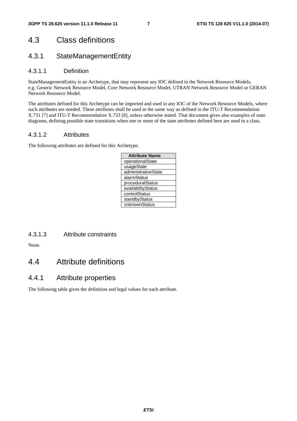## 4.3 Class definitions

#### 4.3.1 StateManagementEntity

#### 4.3.1.1 Definition

StateManagementEntity is an Archetype, that may represent any IOC defined in the Network Resource Models, e.g. Generic Network Resource Model, Core Network Resource Model, UTRAN Network Resource Model or GERAN Network Resource Model.

The attributes defined for this Archetype can be imported and used in any IOC of the Network Resource Models, where such attributes are needed. These attributes shall be used in the same way as defined in the ITU-T Recommendation X.731 [7] and ITU-T Recommendation X.733 [8], unless otherwise stated. That document gives also examples of state diagrams, defining possible state transitions when one or more of the state attributes defined here are used in a class.

#### 4.3.1.2 Attributes

The following attributes are defined for this Archetype.

| <b>Attribute Name</b> |  |  |  |  |
|-----------------------|--|--|--|--|
| operationalState      |  |  |  |  |
| usageState            |  |  |  |  |
| administrativeState   |  |  |  |  |
| alarmStatus           |  |  |  |  |
| proceduralStatus      |  |  |  |  |
| availabilityStatus    |  |  |  |  |
| controlStatus         |  |  |  |  |
| standbyStatus         |  |  |  |  |
| unknownStatus         |  |  |  |  |

4.3.1.3 Attribute constraints

None.

## 4.4 Attribute definitions

#### 4.4.1 Attribute properties

The following table gives the definition and legal values for each attribute.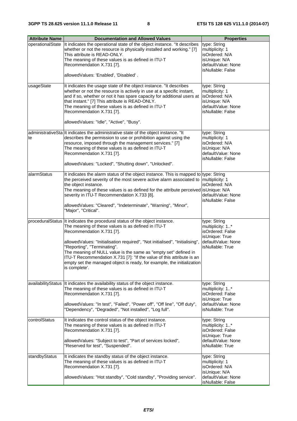| <b>Attribute Name</b> | <b>Documentation and Allowed Values</b>                                                      | <b>Properties</b>                       |
|-----------------------|----------------------------------------------------------------------------------------------|-----------------------------------------|
| operationalState      | It indicates the operational state of the object instance. "It describes                     | type: String                            |
|                       | whether or not the resource is physically installed and working." [7]                        | multiplicity: 1                         |
|                       | This attribute is READ-ONLY.                                                                 | isOrdered: N/A                          |
|                       | The meaning of these values is as defined in ITU-T                                           | isUnique: N/A                           |
|                       | Recommendation X.731 [7].                                                                    | defaultValue: None<br>isNullable: False |
|                       | allowedValues: 'Enabled', 'Disabled'.                                                        |                                         |
| usageState            | It indicates the usage state of the object instance. "It describes                           | type: String                            |
|                       | whether or not the resource is actively in use at a specific instant,                        | multiplicity: 1                         |
|                       | and if so, whether or not it has spare capacity for additional users at                      | isOrdered: N/A                          |
|                       | that instant." [7] This attribute is READ-ONLY.                                              | isUnique: N/A<br>defaultValue: None     |
|                       | The meaning of these values is as defined in ITU-T<br>Recommendation X.731 [7].              | isNullable: False                       |
|                       |                                                                                              |                                         |
|                       | allowedValues: "Idle", "Active", "Busy".                                                     |                                         |
|                       | administrativeSta It indicates the administrative state of the object instance. "It          | type: String                            |
| te                    | describes the permission to use or prohibition against using the                             | multiplicity: 1                         |
|                       | resource, imposed through the management services." [7]                                      | isOrdered: N/A                          |
|                       | The meaning of these values is as defined in ITU-T<br>Recommendation X.731 [7].              | isUnique: N/A<br>defaultValue: None     |
|                       |                                                                                              | isNullable: False                       |
|                       | allowedValues: "Locked", "Shutting down", "Unlocked".                                        |                                         |
| alarmStatus           | It indicates the alarm status of the object instance. This is mapped to type: String         |                                         |
|                       | the perceived severity of the most severe active alarm associated to $\vert$ multiplicity: 1 |                                         |
|                       | the object instance.                                                                         | isOrdered: N/A                          |
|                       | The meaning of these values is as defined for the attribute perceived isUnique: N/A          | defaultValue: None                      |
|                       | severity in ITU-T Recommendation X.733 [8].                                                  | isNullable: False                       |
|                       | allowedValues: "Cleared", "Indeterminate", "Warning", "Minor",                               |                                         |
|                       | "Major", "Critical".                                                                         |                                         |
|                       |                                                                                              |                                         |
|                       | proceduralStatus It indicates the procedural status of the object instance.                  | type: String                            |
|                       | The meaning of these values is as defined in ITU-T<br>Recommendation X.731 [7].              | multiplicity: 1*<br>isOrdered: False    |
|                       |                                                                                              | isUnique: True                          |
|                       | allowedValues: "Initialisation required", "Not initialised", "Initialising",                 | defaultValue: None                      |
|                       | "Reporting", "Terminating".                                                                  | isNullable: True                        |
|                       | The meaning of NULL value is the same as "empty set" defined in                              |                                         |
|                       | ITU-T Recommendation X.731 [7]: "If the value of this attribute is an                        |                                         |
|                       | empty set the managed object is ready, for example, the initialization<br>is complete'.      |                                         |
|                       |                                                                                              |                                         |
|                       | availabilityStatus   It indicates the availability status of the object instance.            | type: String                            |
|                       | The meaning of these values is as defined in ITU-T                                           | multiplicity: 1*                        |
|                       | Recommendation X.731 [7].                                                                    | isOrdered: False                        |
|                       |                                                                                              | isUnique: True                          |
|                       | allowedValues: "In test", "Failed", "Power off", "Off line", "Off duty",                     | defaultValue: None                      |
|                       | "Dependency", "Degraded", "Not installed", "Log full".                                       | isNullable: True                        |
| controlStatus         | It indicates the control status of the object instance.                                      | type: String                            |
|                       | The meaning of these values is as defined in ITU-T                                           | multiplicity: 1*                        |
|                       | Recommendation X.731 [7].                                                                    | isOrdered: False                        |
|                       |                                                                                              | isUnique: True                          |
|                       | allowedValues: "Subject to test", "Part of services locked",                                 | defaultValue: None                      |
|                       | 'Reserved for test", "Suspended".                                                            | isNullable: True                        |
| standbyStatus         | It indicates the standby status of the object instance.                                      | type: String                            |
|                       | The meaning of these values is as defined in ITU-T                                           | multiplicity: 1                         |
|                       | Recommendation X.731 [7].                                                                    | isOrdered: N/A                          |
|                       |                                                                                              | isUnique: N/A                           |
|                       | allowedValues: "Hot standby", "Cold standby", "Providing service".                           | defaultValue: None<br>isNullable: False |
|                       |                                                                                              |                                         |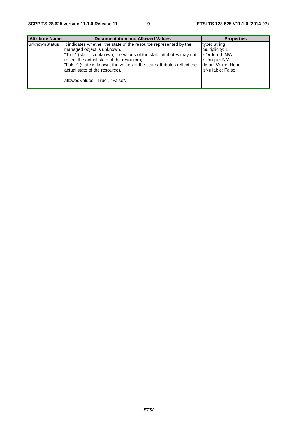| <b>Attribute Name</b> | <b>Documentation and Allowed Values</b>                                                                                                                                                                                                                                                                                                                               | <b>Properties</b>                                                                                                |
|-----------------------|-----------------------------------------------------------------------------------------------------------------------------------------------------------------------------------------------------------------------------------------------------------------------------------------------------------------------------------------------------------------------|------------------------------------------------------------------------------------------------------------------|
| <b>lunknownStatus</b> | It indicates whether the state of the resource represented by the<br>Imanaged object is unknown.<br>True" (state is unknown, the values of the state attributes may not<br>reflect the actual state of the resource);<br>"False" (state is known, the values of the state attributes reflect the<br>actual state of the resource).<br>allowedValues: "True", "False". | type: String<br>multiplicity: 1<br>lisOrdered: N/A<br>isUnique: N/A<br>IdefaultValue: None<br>lisNullable: False |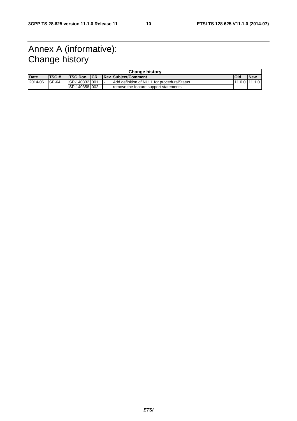# Annex A (informative): Change history

| <b>Change history</b> |              |                      |  |  |                                             |               |            |
|-----------------------|--------------|----------------------|--|--|---------------------------------------------|---------------|------------|
| <b>Date</b>           | <b>ITSG#</b> | <b>ITSG Doc. ICR</b> |  |  | <b>ReviSubiect/Comment</b>                  | <b>Old</b>    | <b>New</b> |
| 2014-06               | $SP-64$      | SP-1403321001        |  |  | Add definition of NULL for proceduralStatus | 11.0.0 11.1.0 |            |
|                       |              | ISP-140358 1002      |  |  | remove the feature support statements       |               |            |